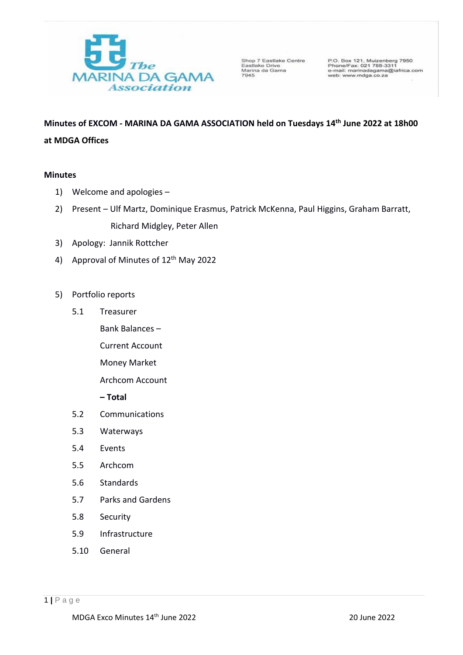

Shop 7 Eastlake Centre<br>Eastlake Drive<br>Marina da Gama<br>7945

P.O. Box 121, Muizenberg 7950<br>Phone/Fax: 021 788-3311<br>e-mail: marinadagama@iafrica.com web: www.mdga.co.za

# **Minutes of EXCOM - MARINA DA GAMA ASSOCIATION held on Tuesdays 14 th June 2022 at 18h00 at MDGA Offices**

## **Minutes**

- 1) Welcome and apologies –
- 2) Present Ulf Martz, Dominique Erasmus, Patrick McKenna, Paul Higgins, Graham Barratt, Richard Midgley, Peter Allen
- 3) Apology: Jannik Rottcher
- 4) Approval of Minutes of 12<sup>th</sup> May 2022
- 5) Portfolio reports
	- 5.1 Treasurer
		- Bank Balances
			- Current Account
			- Money Market
			- Archcom Account
			- **– Total**
	- 5.2 Communications
	- 5.3 Waterways
	- 5.4 Events
	- 5.5 Archcom
	- 5.6 Standards
	- 5.7 Parks and Gardens
	- 5.8 Security
	- 5.9 Infrastructure
	- 5.10 General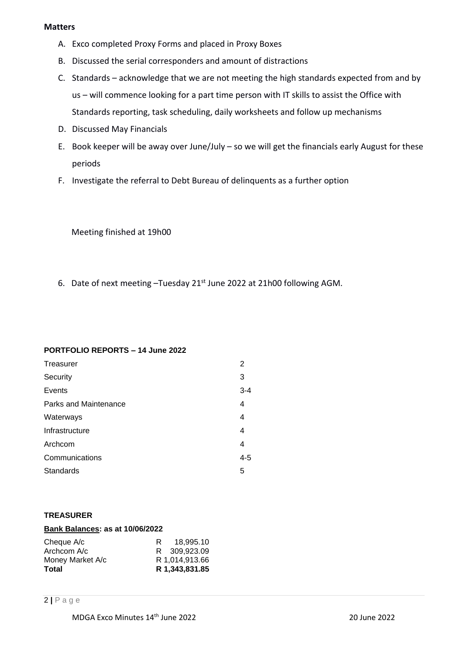## **Matters**

- A. Exco completed Proxy Forms and placed in Proxy Boxes
- B. Discussed the serial corresponders and amount of distractions
- C. Standards acknowledge that we are not meeting the high standards expected from and by us – will commence looking for a part time person with IT skills to assist the Office with Standards reporting, task scheduling, daily worksheets and follow up mechanisms
- D. Discussed May Financials
- E. Book keeper will be away over June/July so we will get the financials early August for these periods
- F. Investigate the referral to Debt Bureau of delinquents as a further option

Meeting finished at 19h00

6. Date of next meeting -Tuesday 21st June 2022 at 21h00 following AGM.

# **PORTFOLIO REPORTS – 14 June 2022**

| Treasurer             | 2       |
|-----------------------|---------|
| Security              | 3       |
| Events                | $3 - 4$ |
| Parks and Maintenance | 4       |
| Waterways             | 4       |
| Infrastructure        | 4       |
| Archcom               | 4       |
| Communications        | $4 - 5$ |
| Standards             | 5       |

# **TREASURER**

## **Bank Balances: as at 10/06/2022**

| Cheque A/c       | 18.995.10<br>R. |
|------------------|-----------------|
| Archcom A/c      | R 309.923.09    |
| Money Market A/c | R 1.014.913.66  |
| Total            | R 1.343.831.85  |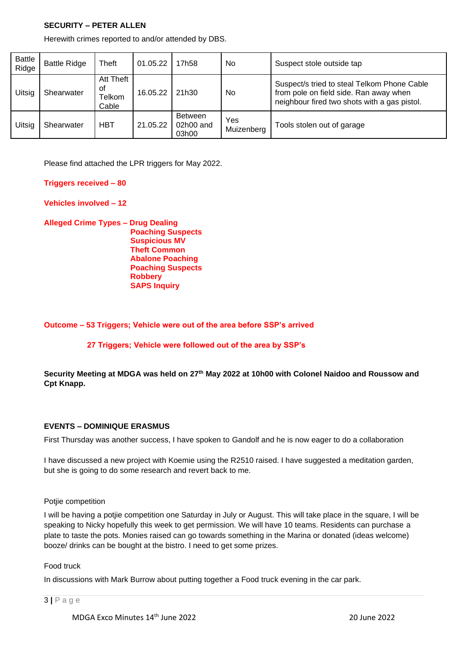## **SECURITY – PETER ALLEN**

Herewith crimes reported to and/or attended by DBS.

| <b>Battle</b><br>Ridge | <b>Battle Ridge</b> | Theft                              | 01.05.22 | 17h58                                  | No                | Suspect stole outside tap                                                                                                             |
|------------------------|---------------------|------------------------------------|----------|----------------------------------------|-------------------|---------------------------------------------------------------------------------------------------------------------------------------|
| Uitsig                 | Shearwater          | Att Theft<br>οf<br>Telkom<br>Cable | 16.05.22 | 21h30                                  | No                | Suspect/s tried to steal Telkom Phone Cable<br>from pole on field side. Ran away when<br>neighbour fired two shots with a gas pistol. |
| Uitsig                 | Shearwater          | <b>HBT</b>                         | 21.05.22 | <b>Between</b><br>$02h00$ and<br>03h00 | Yes<br>Muizenberg | Tools stolen out of garage                                                                                                            |

Please find attached the LPR triggers for May 2022.

#### **Triggers received – 80**

**Vehicles involved – 12**

**Alleged Crime Types – Drug Dealing Poaching Suspects Suspicious MV Theft Common Abalone Poaching Poaching Suspects Robbery SAPS Inquiry**

## **Outcome – 53 Triggers; Vehicle were out of the area before SSP's arrived**

## **27 Triggers; Vehicle were followed out of the area by SSP's**

## **Security Meeting at MDGA was held on 27th May 2022 at 10h00 with Colonel Naidoo and Roussow and Cpt Knapp.**

#### **EVENTS – DOMINIQUE ERASMUS**

First Thursday was another success, I have spoken to Gandolf and he is now eager to do a collaboration

I have discussed a new project with Koemie using the R2510 raised. I have suggested a meditation garden, but she is going to do some research and revert back to me.

#### Potije competition

I will be having a potjie competition one Saturday in July or August. This will take place in the square, I will be speaking to Nicky hopefully this week to get permission. We will have 10 teams. Residents can purchase a plate to taste the pots. Monies raised can go towards something in the Marina or donated (ideas welcome) booze/ drinks can be bought at the bistro. I need to get some prizes.

#### Food truck

In discussions with Mark Burrow about putting together a Food truck evening in the car park.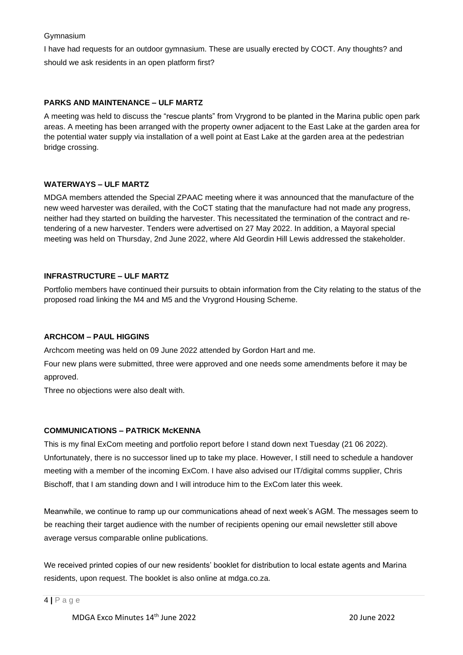## Gymnasium

I have had requests for an outdoor gymnasium. These are usually erected by COCT. Any thoughts? and should we ask residents in an open platform first?

## **PARKS AND MAINTENANCE – ULF MARTZ**

A meeting was held to discuss the "rescue plants" from Vrygrond to be planted in the Marina public open park areas. A meeting has been arranged with the property owner adjacent to the East Lake at the garden area for the potential water supply via installation of a well point at East Lake at the garden area at the pedestrian bridge crossing.

## **WATERWAYS – ULF MARTZ**

MDGA members attended the Special ZPAAC meeting where it was announced that the manufacture of the new weed harvester was derailed, with the CoCT stating that the manufacture had not made any progress, neither had they started on building the harvester. This necessitated the termination of the contract and retendering of a new harvester. Tenders were advertised on 27 May 2022. In addition, a Mayoral special meeting was held on Thursday, 2nd June 2022, where Ald Geordin Hill Lewis addressed the stakeholder.

## **INFRASTRUCTURE – ULF MARTZ**

Portfolio members have continued their pursuits to obtain information from the City relating to the status of the proposed road linking the M4 and M5 and the Vrygrond Housing Scheme.

## **ARCHCOM – PAUL HIGGINS**

Archcom meeting was held on 09 June 2022 attended by Gordon Hart and me.

Four new plans were submitted, three were approved and one needs some amendments before it may be approved.

Three no objections were also dealt with.

## **COMMUNICATIONS – PATRICK McKENNA**

This is my final ExCom meeting and portfolio report before I stand down next Tuesday (21 06 2022). Unfortunately, there is no successor lined up to take my place. However, I still need to schedule a handover meeting with a member of the incoming ExCom. I have also advised our IT/digital comms supplier, Chris Bischoff, that I am standing down and I will introduce him to the ExCom later this week.

Meanwhile, we continue to ramp up our communications ahead of next week's AGM. The messages seem to be reaching their target audience with the number of recipients opening our email newsletter still above average versus comparable online publications.

We received printed copies of our new residents' booklet for distribution to local estate agents and Marina residents, upon request. The booklet is also online at mdga.co.za.